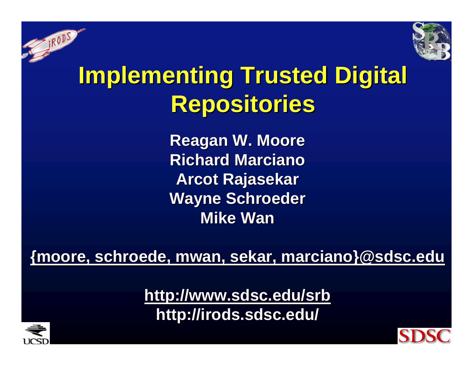

## **Implementing Trusted Digital Repositories Repositories**

**Reagan W. Moore Reagan W. Moore Richard Marciano Richard MarcianoArcot Rajasekar Wayne Schroeder Wayne Schroeder Mike Wan Mike Wan**

**{moore, schroede [schroede, mwan, sekar, marciano}@sdsc.edu](mailto:{moore@sdsc.edu) marciano}@sdsc.edu**

**<http://www.sdsc.edu/srb> http://www.sdsc.edu/srb** http://irods.sdsc.edu/



**SERVER** 

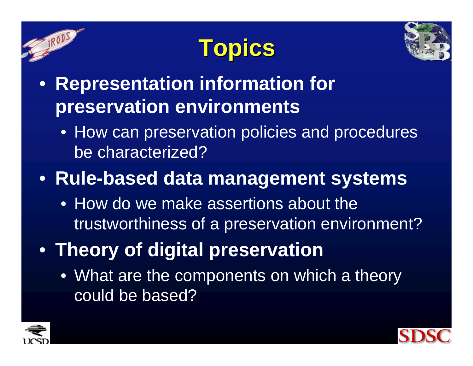





- **Representation information for preservation environments**
	- How can preservation policies and procedures be characterized?
- **Rule-based data management systems**
	- How do we make assertions about the trustworthiness of a preservation environment?
- **Theory of digital preservation**
	- What are the components on which a theory could be based?



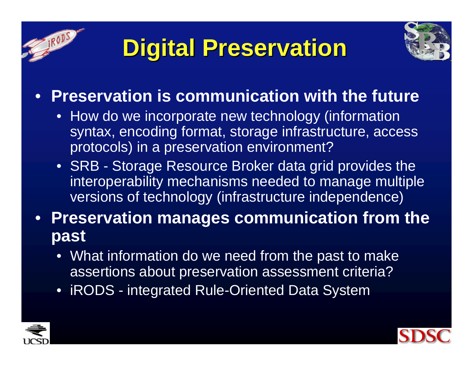





### • **Preservation is communication with the future**

- How do we incorporate new technology (information syntax, encoding format, storage infrastructure, access protocols) in a preservation environment?
- SRB Storage Resource Broker data grid provides the interoperability mechanisms needed to manage multiple versions of technology (infrastructure independence)
- **Preservation manages communication from the past**
	- What information do we need from the past to make assertions about preservation assessment criteria?
	- iRODS integrated Rule-Oriented Data System



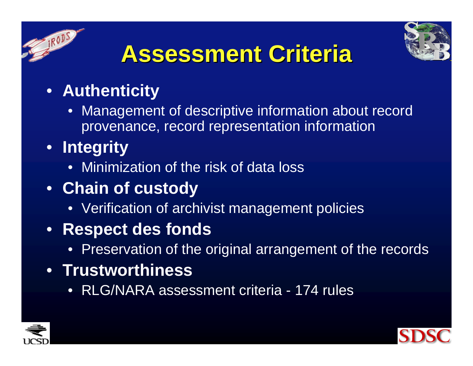



### **Assessment Criteria Assessment Criteria**

- **Authenticity**
	- Management of descriptive information about record provenance, record representation information
- **Integrity**
	- Minimization of the risk of data loss
- **Chain of custody**
	- Verification of archivist management policies
- **Respect des fonds**
	- Preservation of the original arrangement of the records
- **Trustworthiness**
	- RLG/NARA assessment criteria 174 rules



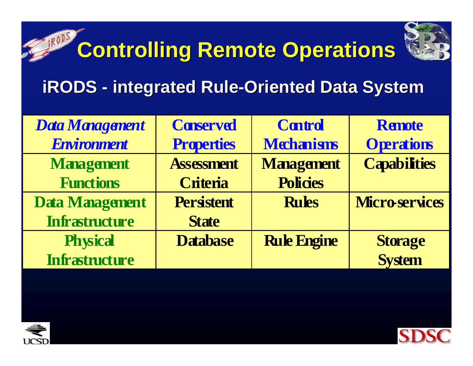

# **Controlling Remote Operations Controlling Remote Operations**

#### **iRODS -- integrated Rule-Oriented Data System**

| Data Management       | <b>Conserved</b>  | <b>Control</b>     | <b>Remote</b>        |
|-----------------------|-------------------|--------------------|----------------------|
| <b>Environment</b>    | <b>Properties</b> | <b>Mchanisms</b>   | <b>Operations</b>    |
| <b>Management</b>     | <b>Assessment</b> | <b>Management</b>  | <b>Capabilities</b>  |
| <b>Functions</b>      | <b>Criteria</b>   | <b>Policies</b>    |                      |
| Data Management       | <b>Persistent</b> | <b>Rules</b>       | <b>Microservices</b> |
| <b>Infrastructure</b> | <b>State</b>      |                    |                      |
| <b>Physical</b>       | <b>Database</b>   | <b>Rule Engine</b> | <b>Storage</b>       |
| <b>Infrastructure</b> |                   |                    | <b>System</b>        |



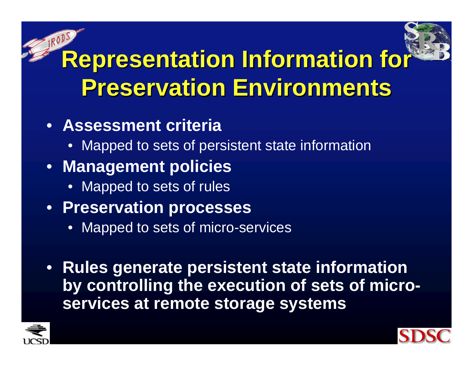# **Representation Information for Preservation Environments Preservation Environments**

### • **Assessment criteria**

• Mapped to sets of persistent state information

### • **Management policies**

• Mapped to sets of rules

### • **Preservation processes**

- Mapped to sets of micro-services
- **Rules generate persistent state information by controlling the execution of sets of microservices at remote storage systems**



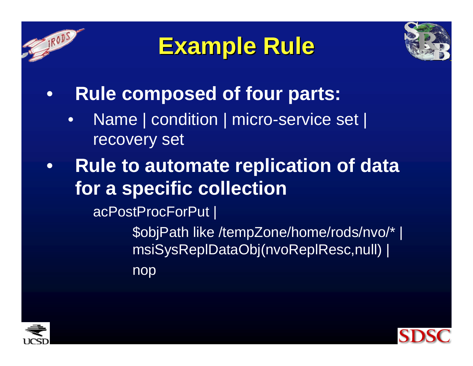

## **Example Rule Example Rule**



- $\bullet$  **Rule composed of four parts:**
	- • Name | condition | micro-service set | recovery set
- • **Rule to automate replication of data for a specific collection**

acPostProcForPut |

\$objPath like /tempZone/home/rods/nvo/\* | msiSysReplDataObj(nvoReplResc,null) | nop



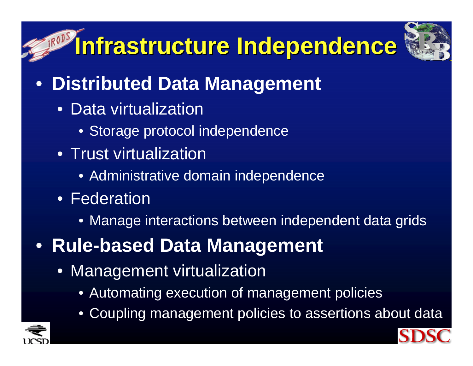# **Infrastructure Independence Infrastructure Independence**



- **Distributed Data Management** 
	- Data virtualization
		- Storage protocol independence
	- Trust virtualization
		- Administrative domain independence
	- Federation
		- Manage interactions between independent data grids
- **Rule-based Data Management**
	- Management virtualization
		- Automating execution of management policies
		- $\bullet$ Coupling management policies to assertions about data



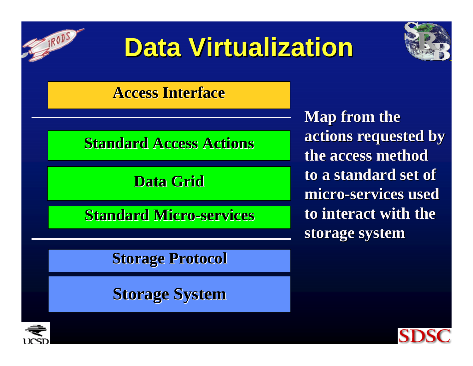

# **Data Virtualization Data Virtualization**



### **Access Interface Access Interface**

### **Standard Access Actions**

### **Data Grid Data Grid**

**Standard Micro Standard Micro -services services**

### **Storage Protocol Storage Protocol**

### **Storage System Storage System**

**Map from the actions requested by actions requested by the access method the access methodto a standard set of to a standard set of micro -services used services used to interact with the to interact with thestorage system storage system**



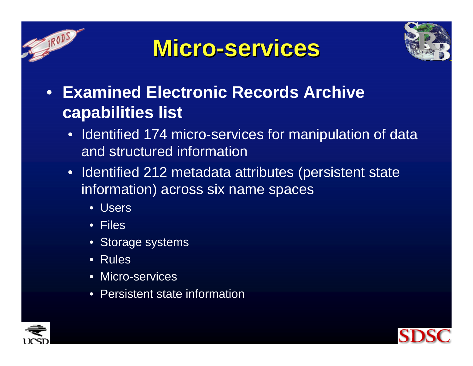





- **Examined Electronic Records Archive capabilities list**
	- Identified 174 micro-services for manipulation of data and structured information
	- Identified 212 metadata attributes (persistent state information) across six name spaces
		- Users
		- Files
		- Storage systems
		- Rules
		- Micro-services
		- •Persistent state information



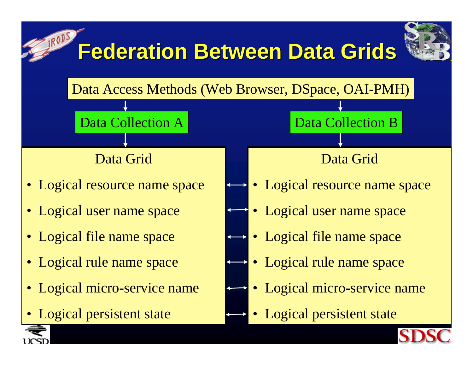

UCSD

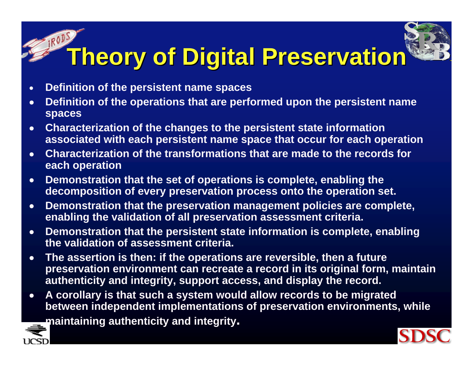# **Theory of Digital Preservation Theory of Digital Preservation**

- •**Definition of the persistent name spaces**
- • **Definition of the operations that are performed upon the persistent name spaces**
- • **Characterization of the changes to the persistent state information associated with each persistent name space that occur for each operation**
- • **Characterization of the transformations that are made to the records for each operation**
- • **Demonstration that the set of operations is complete, enabling the decomposition of every preservation process onto the operation set.**
- • **Demonstration that the preservation management policies are complete, enabling the validation of all preservation assessment criteria.**
- • **Demonstration that the persistent state information is complete, enabling the validation of assessment criteria.**
- • **The assertion is then: if the operations are reversible, then a future preservation environment can recreate a record in its original form, maintain authenticity and integrity, support access, and display the record.**
- • **A corollary is that such a system would allow records to be migrated between independent implementations of preservation environments, while**

**maintaining authenticity and integrity.**